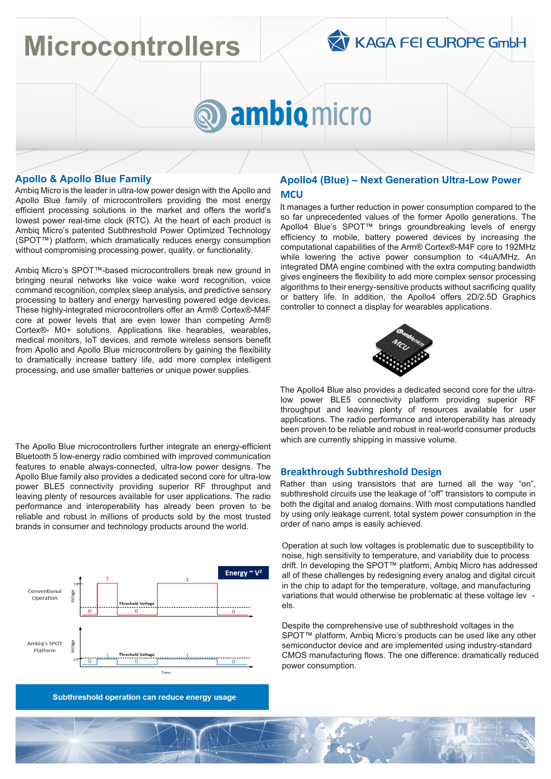# **Microcontrollers**



# ambio micro

## **Apollo & Apollo Blue Family**

Ambiq Micro is the leader in ultra-low power design with the Apollo and Apollo Blue family of microcontrollers providing the most energy efficient processing solutions in the market and offers the world's lowest power real-time clock (RTC). At the heart of each product is Ambiq Micro's patented Subthreshold Power Optimized Technology (SPOT™) platform, which dramatically reduces energy consumption without compromising processing power, quality, or functionality.

Ambiq Micro's SPOT™-based microcontrollers break new ground in bringing neural networks like voice wake word recognition, voice command recognition, complex sleep analysis, and predictive sensory processing to battery and energy harvesting powered edge devices. These highly-integrated microcontrollers offer an Arm® Cortex®-M4F core at power levels that are even lower than competing Arm® Cortex®- M0+ solutions. Applications like hearables, wearables, medical monitors, IoT devices, and remote wireless sensors benefit from Apollo and Apollo Blue microcontrollers by gaining the flexibility to dramatically increase battery life, add more complex intelligent processing, and use smaller batteries or unique power supplies.

The Apollo Blue microcontrollers further integrate an energy-efficient Bluetooth 5 low-energy radio combined with improved communication features to enable always-connected, ultra-low power designs. The Apollo Blue family also provides a dedicated second core for ultra-low power BLE5 connectivity providing superior RF throughput and leaving plenty of resources available for user applications. The radio performance and interoperability has already been proven to be reliable and robust in millions of products sold by the most trusted brands in consumer and technology products around the world.



Subthreshold operation can reduce energy usage

### **Apollo4 (Blue) – Next Generation Ultra-Low Power MCU**

It manages a further reduction in power consumption compared to the so far unprecedented values of the former Apollo generations. The Apollo4 Blue's SPOT™ brings groundbreaking levels of energy efficiency to mobile, battery powered devices by increasing the computational capabilities of the Arm® Cortex®-M4F core to 192MHz while lowering the active power consumption to <4uA/MHz. An integrated DMA engine combined with the extra computing bandwidth gives engineers the flexibility to add more complex sensor processing algorithms to their energy-sensitive products without sacrificing quality or battery life. In addition, the Apollo4 offers 2D/2.5D Graphics controller to connect a display for wearables applications.



The Apollo4 Blue also provides a dedicated second core for the ultralow power BLE5 connectivity platform providing superior RF throughput and leaving plenty of resources available for user applications. The radio performance and interoperability has already been proven to be reliable and robust in real-world consumer products which are currently shipping in massive volume.

#### **Breakthrough Subthreshold Design**

Rather than using transistors that are turned all the way "on", subthreshold circuits use the leakage of "off" transistors to compute in both the digital and analog domains. With most computations handled by using only leakage current, total system power consumption in the order of nano amps is easily achieved.

Operation at such low voltages is problematic due to susceptibility to noise, high sensitivity to temperature, and variability due to process drift. In developing the SPOT™ platform, Ambiq Micro has addressed all of these challenges by redesigning every analog and digital circuit in the chip to adapt for the temperature, voltage, and manufacturing variations that would otherwise be problematic at these voltage lev els.

Despite the comprehensive use of subthreshold voltages in the SPOT<sup>™</sup> platform, Ambiq Micro's products can be used like any other semiconductor device and are implemented using industry-standard CMOS manufacturing flows. The one difference: dramatically reduced power consumption.